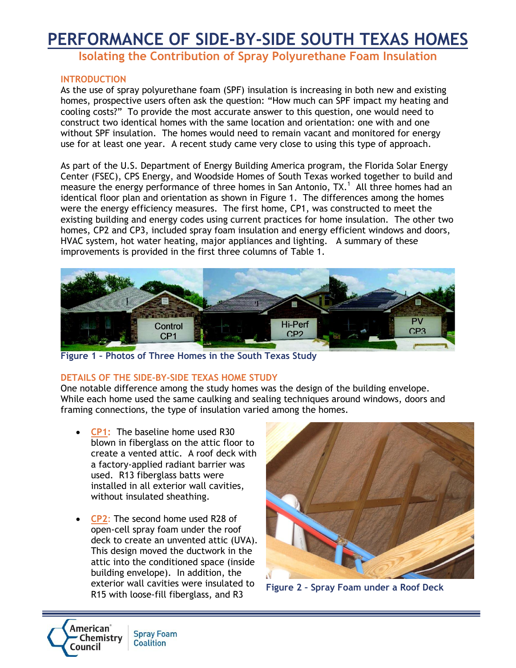# **PERFORMANCE OF SIDE-BY-SIDE SOUTH TEXAS HOMES**

**Isolating the Contribution of Spray Polyurethane Foam Insulation**

#### **INTRODUCTION**

As the use of spray polyurethane foam (SPF) insulation is increasing in both new and existing homes, prospective users often ask the question: "How much can SPF impact my heating and cooling costs?" To provide the most accurate answer to this question, one would need to construct two identical homes with the same location and orientation: one with and one without SPF insulation. The homes would need to remain vacant and monitored for energy use for at least one year. A recent study came very close to using this type of approach.

As part of the U.S. Department of Energy Building America program, the Florida Solar Energy Center (FSEC), CPS Energy, and Woodside Homes of South Texas worked together to build and measure the energy performance of three homes in San Antonio, TX.<sup>1</sup> All three homes had an identical floor plan and orientation as shown in Figure 1. The differences among the homes were the energy efficiency measures. The first home, CP1, was constructed to meet the existing building and energy codes using current practices for home insulation. The other two homes, CP2 and CP3, included spray foam insulation and energy efficient windows and doors, HVAC system, hot water heating, major appliances and lighting. A summary of these improvements is provided in the first three columns of Table 1.



**Figure 1 – Photos of Three Homes in the South Texas Study**

#### **DETAILS OF THE SIDE-BY-SIDE TEXAS HOME STUDY**

One notable difference among the study homes was the design of the building envelope. While each home used the same caulking and sealing techniques around windows, doors and framing connections, the type of insulation varied among the homes.

- **CP1:** The baseline home used R30 blown in fiberglass on the attic floor to create a vented attic. A roof deck with a factory-applied radiant barrier was used. R13 fiberglass batts were installed in all exterior wall cavities, without insulated sheathing.
- **CP2**: The second home used R28 of open-cell spray foam under the roof deck to create an unvented attic (UVA). This design moved the ductwork in the attic into the conditioned space (inside building envelope). In addition, the exterior wall cavities were insulated to R15 with loose-fill fiberglass, and R3



**Figure 2 – Spray Foam under a Roof Deck**

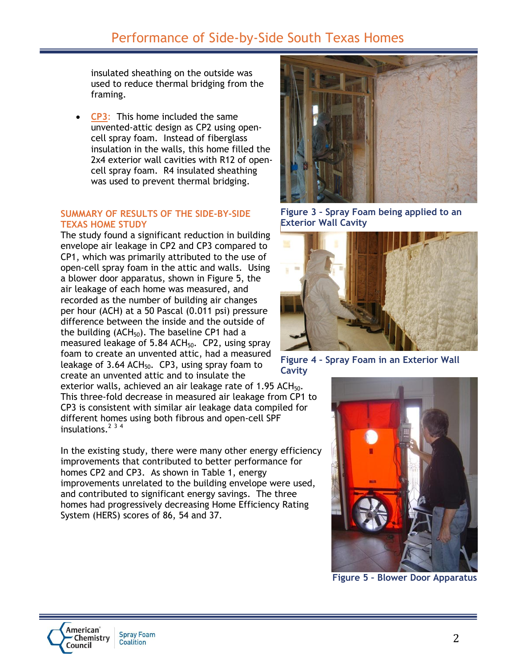### Performance of Side-by-Side South Texas Homes

insulated sheathing on the outside was used to reduce thermal bridging from the framing.

 **CP3**: This home included the same unvented-attic design as CP2 using opencell spray foam. Instead of fiberglass insulation in the walls, this home filled the 2x4 exterior wall cavities with R12 of opencell spray foam. R4 insulated sheathing was used to prevent thermal bridging.

#### **SUMMARY OF RESULTS OF THE SIDE-BY-SIDE TEXAS HOME STUDY**

The study found a significant reduction in building envelope air leakage in CP2 and CP3 compared to CP1, which was primarily attributed to the use of open-cell spray foam in the attic and walls. Using a blower door apparatus, shown in Figure 5, the air leakage of each home was measured, and recorded as the number of building air changes per hour (ACH) at a 50 Pascal (0.011 psi) pressure difference between the inside and the outside of the building  $(ACH_{50})$ . The baseline CP1 had a measured leakage of  $5.84$  ACH<sub>50</sub>. CP2, using spray foam to create an unvented attic, had a measured leakage of  $3.64$  ACH<sub>50</sub>. CP3, using spray foam to create an unvented attic and to insulate the

exterior walls, achieved an air leakage rate of 1.95 ACH $_{50}$ . This three-fold decrease in measured air leakage from CP1 to CP3 is consistent with similar air leakage data compiled for different homes using both fibrous and open-cell SPF insulations. 2 3 4

In the existing study, there were many other energy efficiency improvements that contributed to better performance for homes CP2 and CP3. As shown in Table 1, energy improvements unrelated to the building envelope were used, and contributed to significant energy savings. The three homes had progressively decreasing Home Efficiency Rating System (HERS) scores of 86, 54 and 37.



**Figure 3 – Spray Foam being applied to an Exterior Wall Cavity**



**Figure 4 – Spray Foam in an Exterior Wall** 

**Cavity**



**Figure 5 – Blower Door Apparatus**

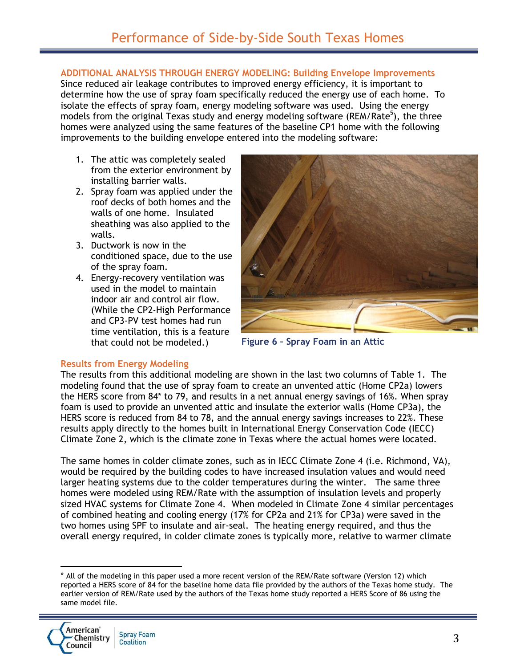#### **ADDITIONAL ANALYSIS THROUGH ENERGY MODELING: Building Envelope Improvements**

Since reduced air leakage contributes to improved energy efficiency, it is important to determine how the use of spray foam specifically reduced the energy use of each home. To isolate the effects of spray foam, energy modeling software was used. Using the energy models from the original Texas study and energy modeling software (REM/Rate<sup>5</sup>), the three homes were analyzed using the same features of the baseline CP1 home with the following improvements to the building envelope entered into the modeling software:

- 1. The attic was completely sealed from the exterior environment by installing barrier walls.
- 2. Spray foam was applied under the roof decks of both homes and the walls of one home. Insulated sheathing was also applied to the walls.
- 3. Ductwork is now in the conditioned space, due to the use of the spray foam.
- 4. Energy-recovery ventilation was used in the model to maintain indoor air and control air flow. (While the CP2-High Performance and CP3-PV test homes had run time ventilation, this is a feature that could not be modeled.)



**Figure 6 – Spray Foam in an Attic**

#### **Results from Energy Modeling**

The results from this additional modeling are shown in the last two columns of Table 1. The modeling found that the use of spray foam to create an unvented attic (Home CP2a) lowers the HERS score from 84\* to 79, and results in a net annual energy savings of 16%. When spray foam is used to provide an unvented attic and insulate the exterior walls (Home CP3a), the HERS score is reduced from 84 to 78, and the annual energy savings increases to 22%. These results apply directly to the homes built in International Energy Conservation Code (IECC) Climate Zone 2, which is the climate zone in Texas where the actual homes were located.

The same homes in colder climate zones, such as in IECC Climate Zone 4 (i.e. Richmond, VA), would be required by the building codes to have increased insulation values and would need larger heating systems due to the colder temperatures during the winter. The same three homes were modeled using REM/Rate with the assumption of insulation levels and properly sized HVAC systems for Climate Zone 4. When modeled in Climate Zone 4 similar percentages of combined heating and cooling energy (17% for CP2a and 21% for CP3a) were saved in the two homes using SPF to insulate and air-seal. The heating energy required, and thus the overall energy required, in colder climate zones is typically more, relative to warmer climate

 $\overline{\phantom{a}}$ 

<sup>\*</sup> All of the modeling in this paper used a more recent version of the REM/Rate software (Version 12) which reported a HERS score of 84 for the baseline home data file provided by the authors of the Texas home study. The earlier version of REM/Rate used by the authors of the Texas home study reported a HERS Score of 86 using the same model file.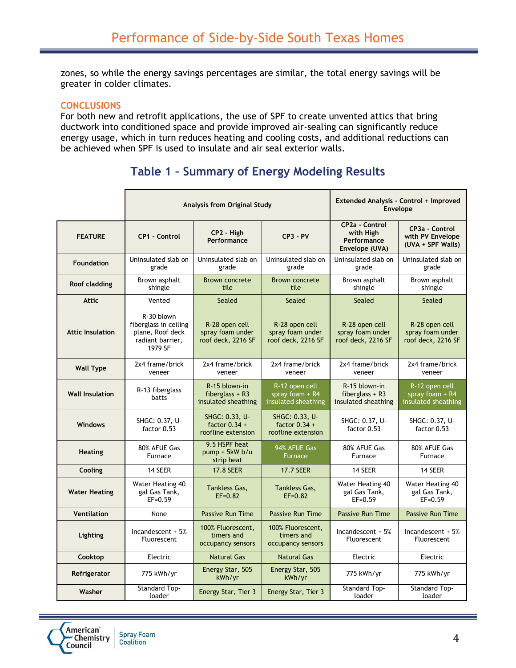zones, so while the energy savings percentages are similar, the total energy savings will be greater in colder climates.

#### **CONCLUSIONS**

For both new and retrofit applications, the use of SPF to create unvented attics that bring ductwork into conditioned space and provide improved air-sealing can significantly reduce energy usage, which in turn reduces heating and cooling costs, and additional reductions can be achieved when SPF is used to insulate and air seal exterior walls.

### **Table 1 – Summary of Energy Modeling Results**

|                         | Analysis from Original Study                                                           |                                                           |                                                            | Extended Analysis - Control + Improved<br>Envelope                  |                                                            |
|-------------------------|----------------------------------------------------------------------------------------|-----------------------------------------------------------|------------------------------------------------------------|---------------------------------------------------------------------|------------------------------------------------------------|
| <b>FEATURE</b>          | <b>CP1 - Control</b>                                                                   | CP2 - High<br>Performance                                 | $CP3 - PV$                                                 | <b>CP2a - Control</b><br>with High<br>Performance<br>Envelope (UVA) | CP3a - Control<br>with PV Envelope<br>(UVA + SPF Walls)    |
| <b>Foundation</b>       | Uninsulated slab on<br>grade                                                           | Uninsulated slab on<br>grade                              | Uninsulated slab on<br>grade                               | Uninsulated slab on<br>grade                                        | Uninsulated slab on<br>grade                               |
| Roof cladding           | Brown asphalt<br>shingle                                                               | <b>Brown concrete</b><br>tile                             | <b>Brown concrete</b><br>tile                              | Brown asphalt<br>shingle                                            | Brown asphalt<br>shingle                                   |
| <b>Attic</b>            | Vented                                                                                 | Sealed                                                    | Sealed                                                     | Sealed                                                              | Sealed                                                     |
| <b>Attic Insulation</b> | R-30 blown<br>fiberglass in ceiling<br>plane, Roof deck<br>radiant barrier,<br>1979 SF | R-28 open cell<br>spray foam under<br>roof deck, 2216 SF  | R-28 open cell<br>spray foam under<br>roof deck, 2216 SF   | R-28 open cell<br>spray foam under<br>roof deck, 2216 SF            | R-28 open cell<br>spray foam under<br>roof deck, 2216 SF   |
| <b>Wall Type</b>        | 2x4 frame/brick<br>veneer                                                              | 2x4 frame/brick<br>veneer                                 | 2x4 frame/brick<br>veneer                                  | 2x4 frame/brick<br>veneer                                           | 2x4 frame/brick<br>veneer                                  |
| <b>Wall Insulation</b>  | R-13 fiberglass<br>batts                                                               | R-15 blown-in<br>fiberglass $+$ R3<br>insulated sheathing | R-12 open cell<br>spray foam $+$ R4<br>insulated sheathing | R-15 blown-in<br>fiberglass $+$ R3<br>insulated sheathing           | R-12 open cell<br>spray foam $+$ R4<br>insulated sheathing |
| <b>Windows</b>          | SHGC: 0.37, U-<br>factor 0.53                                                          | SHGC: 0.33, U-<br>factor $0.34 +$<br>roofline extension   | SHGC: 0.33, U-<br>factor $0.34 +$<br>roofline extension    | SHGC: 0.37, U-<br>factor 0.53                                       | SHGC: 0.37, U-<br>factor 0.53                              |
| <b>Heating</b>          | 80% AFUE Gas<br>Furnace                                                                | 9.5 HSPF heat<br>$pump + 5kW b/u$<br>strip heat           | 94% AFUE Gas<br><b>Furnace</b>                             | 80% AFUE Gas<br>Furnace                                             | 80% AFUE Gas<br>Furnace                                    |
| Cooling                 | 14 SEER                                                                                | <b>17.8 SEER</b>                                          | <b>17.7 SEER</b>                                           | 14 SEER                                                             | 14 SEER                                                    |
| <b>Water Heating</b>    | Water Heating 40<br>gal Gas Tank,<br>$EF = 0.59$                                       | <b>Tankless Gas,</b><br>$EF = 0.82$                       | <b>Tankless Gas,</b><br>$EF = 0.82$                        | Water Heating 40<br>gal Gas Tank,<br>$EF = 0.59$                    | Water Heating 40<br>gal Gas Tank,<br>$EF = 0.59$           |
| <b>Ventilation</b>      | None                                                                                   | <b>Passive Run Time</b>                                   | Passive Run Time                                           | <b>Passive Run Time</b>                                             | <b>Passive Run Time</b>                                    |
| Lighting                | Incandescent $+5%$<br>Fluorescent                                                      | 100% Fluorescent,<br>timers and<br>occupancy sensors      | 100% Fluorescent,<br>timers and<br>occupancy sensors       | Incandescent $+5%$<br>Fluorescent                                   | Incandescent $+5%$<br>Fluorescent                          |
| Cooktop                 | Electric                                                                               | <b>Natural Gas</b>                                        | <b>Natural Gas</b>                                         | Electric                                                            | Electric                                                   |
| Refrigerator            | 775 kWh/yr                                                                             | Energy Star, 505<br>kWh/yr                                | Energy Star, 505<br>kWh/yr                                 | 775 kWh/yr                                                          | 775 kWh/yr                                                 |
| Washer                  | Standard Top-<br>loader                                                                | Energy Star, Tier 3                                       | Energy Star, Tier 3                                        | Standard Top-<br>loader                                             | <b>Standard Top-</b><br>loader                             |

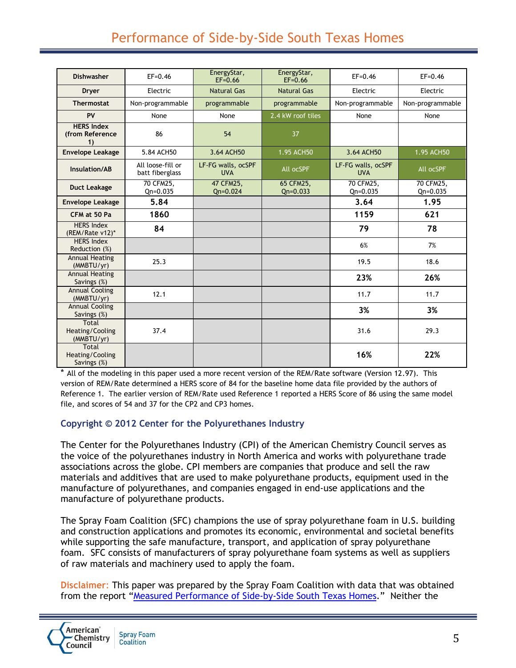## Performance of Side-by-Side South Texas Homes

| <b>Dishwasher</b>                              | $EF = 0.46$                          | EnergyStar,                      | EnergyStar,               | $EF = 0.46$                      | $EF = 0.46$               |
|------------------------------------------------|--------------------------------------|----------------------------------|---------------------------|----------------------------------|---------------------------|
|                                                |                                      | $EF = 0.66$                      | $EF = 0.66$               |                                  |                           |
| Dryer                                          | Electric                             | <b>Natural Gas</b>               | <b>Natural Gas</b>        | Electric                         | Electric                  |
| <b>Thermostat</b>                              | Non-programmable                     | programmable                     | programmable              | Non-programmable                 | Non-programmable          |
| PV                                             | None                                 | None                             | 2.4 kW roof tiles         | None                             | None                      |
| <b>HERS Index</b><br>(from Reference<br>1)     | 86                                   | 54                               | 37                        |                                  |                           |
| <b>Envelope Leakage</b>                        | 5.84 ACH50                           | 3.64 ACH50                       | 1.95 ACH50                | 3.64 ACH50                       | 1.95 ACH50                |
| Insulation/AB                                  | All loose-fill or<br>batt fiberglass | LF-FG walls, ocSPF<br><b>UVA</b> | All ocSPF                 | LF-FG walls, ocSPF<br><b>UVA</b> | All ocSPF                 |
| <b>Duct Leakage</b>                            | 70 CFM25.<br>$Qn = 0.035$            | 47 CFM25.<br>$Qn = 0.024$        | 65 CFM25,<br>$Qn = 0.033$ | 70 CFM25.<br>$Qn = 0.035$        | 70 CFM25.<br>$Qn = 0.035$ |
| <b>Envelope Leakage</b>                        | 5.84                                 |                                  |                           | 3.64                             | 1.95                      |
| CFM at 50 Pa                                   | 1860                                 |                                  |                           | 1159                             | 621                       |
| <b>HERS Index</b><br>(REM/Rate v12)*           | 84                                   |                                  |                           | 79                               | 78                        |
| <b>HERS Index</b><br>Reduction (%)             |                                      |                                  |                           | 6%                               | 7%                        |
| <b>Annual Heating</b><br>(MMBTU/yr)            | 25.3                                 |                                  |                           | 19.5                             | 18.6                      |
| <b>Annual Heating</b><br>Savings (%)           |                                      |                                  |                           | 23%                              | 26%                       |
| <b>Annual Cooling</b><br>(MMBTU/yr)            | 12.1                                 |                                  |                           | 11.7                             | 11.7                      |
| <b>Annual Cooling</b><br>Savings (%)           |                                      |                                  |                           | 3%                               | 3%                        |
| <b>Total</b><br>Heating/Cooling<br>(MMBTU/yr)  | 37.4                                 |                                  |                           | 31.6                             | 29.3                      |
| <b>Total</b><br>Heating/Cooling<br>Savings (%) |                                      |                                  |                           | 16%                              | 22%                       |

\* All of the modeling in this paper used a more recent version of the REM/Rate software (Version 12.97). This version of REM/Rate determined a HERS score of 84 for the baseline home data file provided by the authors of Reference 1. The earlier version of REM/Rate used Reference 1 reported a HERS Score of 86 using the same model file, and scores of 54 and 37 for the CP2 and CP3 homes.

#### **Copyright © 2012 Center for the Polyurethanes Industry**

The Center for the Polyurethanes Industry (CPI) of the American Chemistry Council serves as the voice of the polyurethanes industry in North America and works with polyurethane trade associations across the globe. CPI members are companies that produce and sell the raw materials and additives that are used to make polyurethane products, equipment used in the manufacture of polyurethanes, and companies engaged in end-use applications and the manufacture of polyurethane products.

The Spray Foam Coalition (SFC) champions the use of spray polyurethane foam in U.S. building and construction applications and promotes its economic, environmental and societal benefits while supporting the safe manufacture, transport, and application of spray polyurethane foam. SFC consists of manufacturers of spray polyurethane foam systems as well as suppliers of raw materials and machinery used to apply the foam.

**Disclaimer**: This paper was prepared by the Spray Foam Coalition with data that was obtained from the report "[Measured Performance of Side-by-Side South Texas Homes](http://www.fsec.ucf.edu/en/publications/pdf/FSEC-PF-453-10.pdf)." Neither the